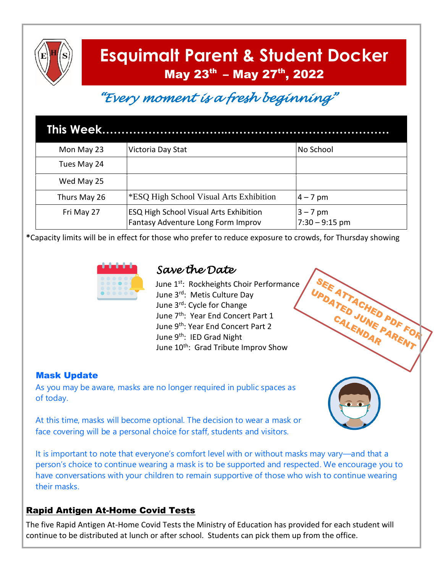

# **Esquimalt Parent & Student Docker** May 23<sup>th</sup> - May 27<sup>th</sup>, 2022

# *"Every moment is a fresh beginning"*

| Mon May 23   | Victoria Day Stat                                                                   | No School                      |
|--------------|-------------------------------------------------------------------------------------|--------------------------------|
| Tues May 24  |                                                                                     |                                |
| Wed May 25   |                                                                                     |                                |
| Thurs May 26 | *ESQ High School Visual Arts Exhibition                                             | $4 - 7$ pm                     |
| Fri May 27   | <b>ESQ High School Visual Arts Exhibition</b><br>Fantasy Adventure Long Form Improv | $3 - 7$ pm<br>$7:30 - 9:15$ pm |

**\***Capacity limits will be in effect for those who prefer to reduce exposure to crowds, for Thursday showing



# *Save the Date*

June 1<sup>st</sup>: Rockheights Choir Performance June 3rd: Metis Culture Day June 3rd: Cycle for Change June 7th: Year End Concert Part 1 June 9<sup>th</sup>: Year End Concert Part 2 June 9<sup>th</sup>: IED Grad Night June 10<sup>th</sup>: Grad Tribute Improv Show

#### Mask Update

As you may be aware, masks are no longer required in public spaces as of today.



SEE ATTACHED PDF FOR SEE ATTACHED PDF FO

At this time, masks will become optional. The decision to wear a mask or face covering will be a personal choice for staff, students and visitors.

It is important to note that everyone's comfort level with or without masks may vary—and that a person's choice to continue wearing a mask is to be supported and respected. We encourage you to have conversations with your children to remain supportive of those who wish to continue wearing their masks.

## Rapid Antigen At-Home Covid Tests

The five Rapid Antigen At-Home Covid Tests the Ministry of Education has provided for each student will continue to be distributed at lunch or after school. Students can pick them up from the office.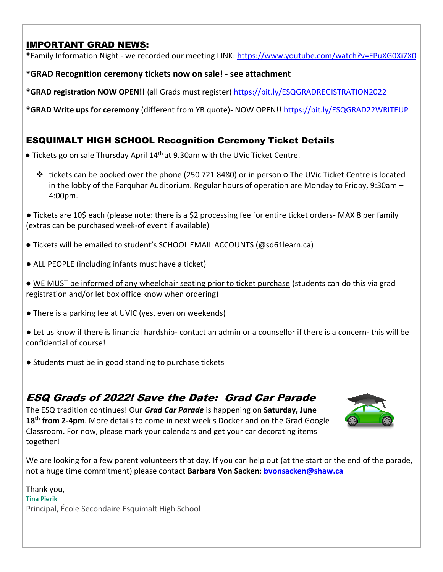## IMPORTANT GRAD NEWS:

**\***Family Information Night - we recorded our meeting LINK: <https://www.youtube.com/watch?v=FPuXG0Xi7X0>

#### **\*GRAD Recognition ceremony tickets now on sale! - see attachment**

**\*GRAD registration NOW OPEN!!** (all Grads must register) <https://bit.ly/ESQGRADREGISTRATION2022>

**\*GRAD Write ups for ceremony** (different from YB quote)- NOW OPEN!! <https://bit.ly/ESQGRAD22WRITEUP>

## ESQUIMALT HIGH SCHOOL Recognition Ceremony Ticket Details

- Tickets go on sale Thursday April 14<sup>th</sup> at 9.30am with the UVic Ticket Centre.
	- tickets can be booked over the phone (250 721 8480) or in person The UVic Ticket Centre is located in the lobby of the Farquhar Auditorium. Regular hours of operation are Monday to Friday, 9:30am – 4:00pm.
- Tickets are 10\$ each (please note: there is a \$2 processing fee for entire ticket orders- MAX 8 per family (extras can be purchased week-of event if available)
- Tickets will be emailed to student's SCHOOL EMAIL ACCOUNTS (@sd61learn.ca)
- ALL PEOPLE (including infants must have a ticket)
- WE MUST be informed of any wheelchair seating prior to ticket purchase (students can do this via grad registration and/or let box office know when ordering)
- There is a parking fee at UVIC (yes, even on weekends)
- Let us know if there is financial hardship- contact an admin or a counsellor if there is a concern- this will be confidential of course!
- Students must be in good standing to purchase tickets

# ESQ Grads of 2022! Save the Date: Grad Car Parade

The ESQ tradition continues! Our *Grad Car Parade* is happening on **Saturday, June 18 th from 2-4pm**. More details to come in next week's Docker and on the Grad Google Classroom. For now, please mark your calendars and get your car decorating items together!



We are looking for a few parent volunteers that day. If you can help out (at the start or the end of the parade, not a huge time commitment) please contact **Barbara Von Sacken**: **[bvonsacken@shaw.ca](mailto:bvonsacken@shaw.ca)**

Thank you, **Tina Pierik** Principal, École Secondaire Esquimalt High School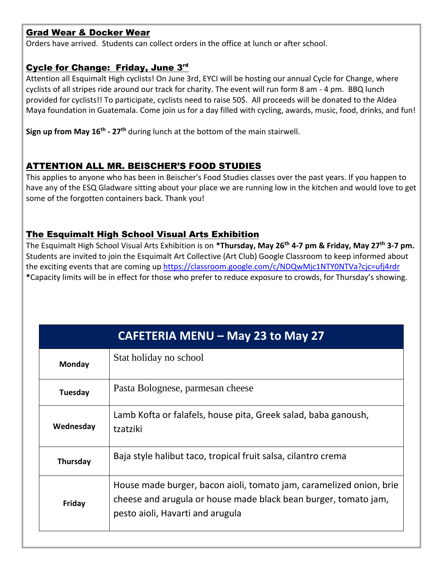#### Grad Wear & Docker Wear

Orders have arrived. Students can collect orders in the office at lunch or after school.

#### Cycle for Change: Friday, June 3rd

Attention all Esquimalt High cyclists! On June 3rd, EYCI will be hosting our annual Cycle for Change, where cyclists of all stripes ride around our track for charity. The event will run form 8 am - 4 pm. BBQ lunch provided for cyclists!! To participate, cyclists need to raise 50\$. All proceeds will be donated to the Aldea Maya foundation in Guatemala. Come join us for a day filled with cycling, awards, music, food, drinks, and fun!

**Sign up from May 16th - 27th** during lunch at the bottom of the main stairwell.

### ATTENTION ALL MR. BEISCHER'S FOOD STUDIES

This applies to anyone who has been in Beischer's Food Studies classes over the past years. If you happen to have any of the ESQ Gladware sitting about your place we are running low in the kitchen and would love to get some of the forgotten containers back. Thank you!

#### The Esquimalt High School Visual Arts Exhibition

The Esquimalt High School Visual Arts Exhibition is on **\*Thursday, May 26th 4-7 pm & Friday, May 27th 3-7 pm.** Students are invited to join the Esquimalt Art Collective (Art Club) Google Classroom to keep informed about the exciting events that are coming u[p https://classroom.google.com/c/NDQwMjc1NTY0NTVa?cjc=ufj4rdr](https://classroom.google.com/c/NDQwMjc1NTY0NTVa?cjc=ufj4rdr) **\***Capacity limits will be in effect for those who prefer to reduce exposure to crowds, for Thursday's showing.

| <b>CAFETERIA MENU - May 23 to May 27</b> |                                                                                                                                                                            |  |
|------------------------------------------|----------------------------------------------------------------------------------------------------------------------------------------------------------------------------|--|
| Monday                                   | Stat holiday no school                                                                                                                                                     |  |
| Tuesday                                  | Pasta Bolognese, parmesan cheese                                                                                                                                           |  |
| Wednesday                                | Lamb Kofta or falafels, house pita, Greek salad, baba ganoush,<br>tzatziki                                                                                                 |  |
| Thursday                                 | Baja style halibut taco, tropical fruit salsa, cilantro crema                                                                                                              |  |
| Friday                                   | House made burger, bacon aioli, tomato jam, caramelized onion, brie<br>cheese and arugula or house made black bean burger, tomato jam,<br>pesto aioli, Havarti and arugula |  |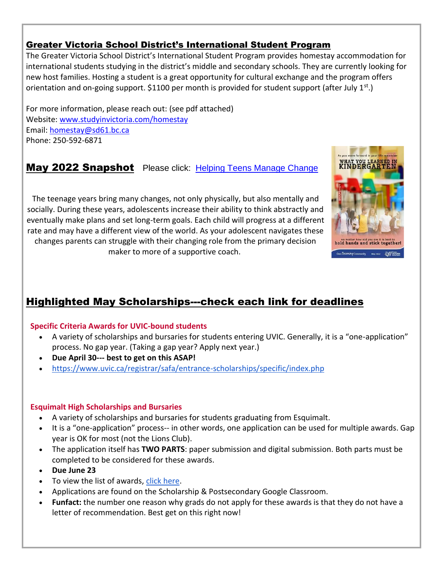### Greater Victoria School District's International Student Program

The Greater Victoria School District's International Student Program provides homestay accommodation for international students studying in the district's middle and secondary schools. They are currently looking for new host families. Hosting a student is a great opportunity for cultural exchange and the program offers orientation and on-going support. \$1100 per month is provided for student support (after July 1<sup>st</sup>.)

For more information, please reach out: (see pdf attached) Website: [www.studyinvictoria.com/homestay](http://www.studyinvictoria.com/homestay) Email: [homestay@sd61.bc.ca](mailto:homestay@sd61.bc.ca) Phone: 250-592-6871

## May 2022 SnapshotPlease click: [Helping Teens Manage Change](http://cm.pn/96p3)

The teenage years bring many changes, not only physically, but also mentally and socially. During these years, adolescents increase their ability to think abstractly and eventually make plans and set long-term goals. Each child will progress at a different rate and may have a different view of the world. As your adolescent navigates these changes parents can struggle with their changing role from the primary decision maker to more of a supportive coach.



# Highlighted May Scholarships---check each link for deadlines

#### **Specific Criteria Awards for UVIC-bound students**

- A variety of scholarships and bursaries for students entering UVIC. Generally, it is a "one-application" process. No gap year. (Taking a gap year? Apply next year.)
- **Due April 30--- best to get on this ASAP!**
- <https://www.uvic.ca/registrar/safa/entrance-scholarships/specific/index.php>

#### **Esquimalt High Scholarships and Bursaries**

- A variety of scholarships and bursaries for students graduating from Esquimalt.
- It is a "one-application" process-- in other words, one application can be used for multiple awards. Gap year is OK for most (not the Lions Club).
- The application itself has **TWO PARTS**: paper submission and digital submission. Both parts must be completed to be considered for these awards.
- **Due June 23**
- To view the list of awards, [click here.](https://docs.google.com/document/d/15Ya03FGfAwWnN32smyJGM6LAD8wAgqNjOCqNA_f4HNQ/edit?usp=sharing)
- Applications are found on the Scholarship & Postsecondary Google Classroom.
- **Funfact:** the number one reason why grads do not apply for these awards is that they do not have a letter of recommendation. Best get on this right now!